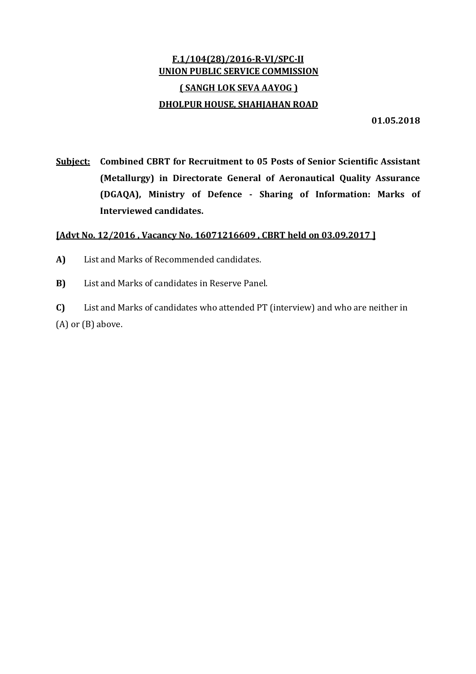## F.1/104(28)/2016‐R‐VI/SPC‐II UNION PUBLIC SERVICE COMMISSION ( SANGH LOK SEVA AAYOG ) DHOLPUR HOUSE, SHAHJAHAN ROAD

01.05.2018

Subject: Combined CBRT for Recruitment to 05 Posts of Senior Scientific Assistant (Metallurgy) in Directorate General of Aeronautical Quality Assurance (DGAQA), Ministry of Defence ‐ Sharing of Information: Marks of Interviewed candidates.

## [Advt No. 12/2016, Vacancy No. 16071216609, CBRT held on 03.09.2017]

- A) List and Marks of Recommended candidates.
- B) List and Marks of candidates in Reserve Panel.

C) List and Marks of candidates who attended PT (interview) and who are neither in (A) or (B) above.